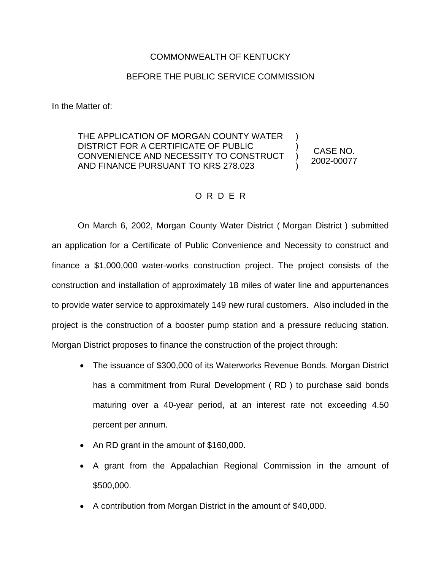## COMMONWEALTH OF KENTUCKY

## BEFORE THE PUBLIC SERVICE COMMISSION

In the Matter of:

THE APPLICATION OF MORGAN COUNTY WATER DISTRICT FOR A CERTIFICATE OF PUBLIC CONVENIENCE AND NECESSITY TO CONSTRUCT AND FINANCE PURSUANT TO KRS 278.023

CASE NO. 2002-00077

) ) ) )

## O R D E R

On March 6, 2002, Morgan County Water District ( Morgan District ) submitted an application for a Certificate of Public Convenience and Necessity to construct and finance a \$1,000,000 water-works construction project. The project consists of the construction and installation of approximately 18 miles of water line and appurtenances to provide water service to approximately 149 new rural customers. Also included in the project is the construction of a booster pump station and a pressure reducing station. Morgan District proposes to finance the construction of the project through:

- ∑ The issuance of \$300,000 of its Waterworks Revenue Bonds. Morgan District has a commitment from Rural Development ( RD ) to purchase said bonds maturing over a 40-year period, at an interest rate not exceeding 4.50 percent per annum.
- An RD grant in the amount of \$160,000.
- A grant from the Appalachian Regional Commission in the amount of \$500,000.
- A contribution from Morgan District in the amount of \$40,000.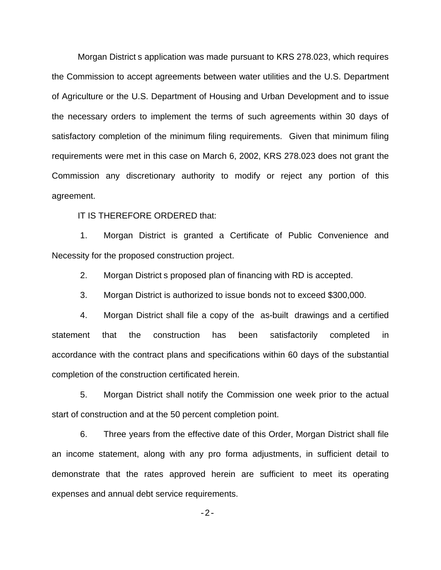Morgan District s application was made pursuant to KRS 278.023, which requires the Commission to accept agreements between water utilities and the U.S. Department of Agriculture or the U.S. Department of Housing and Urban Development and to issue the necessary orders to implement the terms of such agreements within 30 days of satisfactory completion of the minimum filing requirements. Given that minimum filing requirements were met in this case on March 6, 2002, KRS 278.023 does not grant the Commission any discretionary authority to modify or reject any portion of this agreement.

IT IS THEREFORE ORDERED that:

1. Morgan District is granted a Certificate of Public Convenience and Necessity for the proposed construction project.

2. Morgan District s proposed plan of financing with RD is accepted.

3. Morgan District is authorized to issue bonds not to exceed \$300,000.

4. Morgan District shall file a copy of the as-built drawings and a certified statement that the construction has been satisfactorily completed in accordance with the contract plans and specifications within 60 days of the substantial completion of the construction certificated herein.

5. Morgan District shall notify the Commission one week prior to the actual start of construction and at the 50 percent completion point.

6. Three years from the effective date of this Order, Morgan District shall file an income statement, along with any pro forma adjustments, in sufficient detail to demonstrate that the rates approved herein are sufficient to meet its operating expenses and annual debt service requirements.

-2-